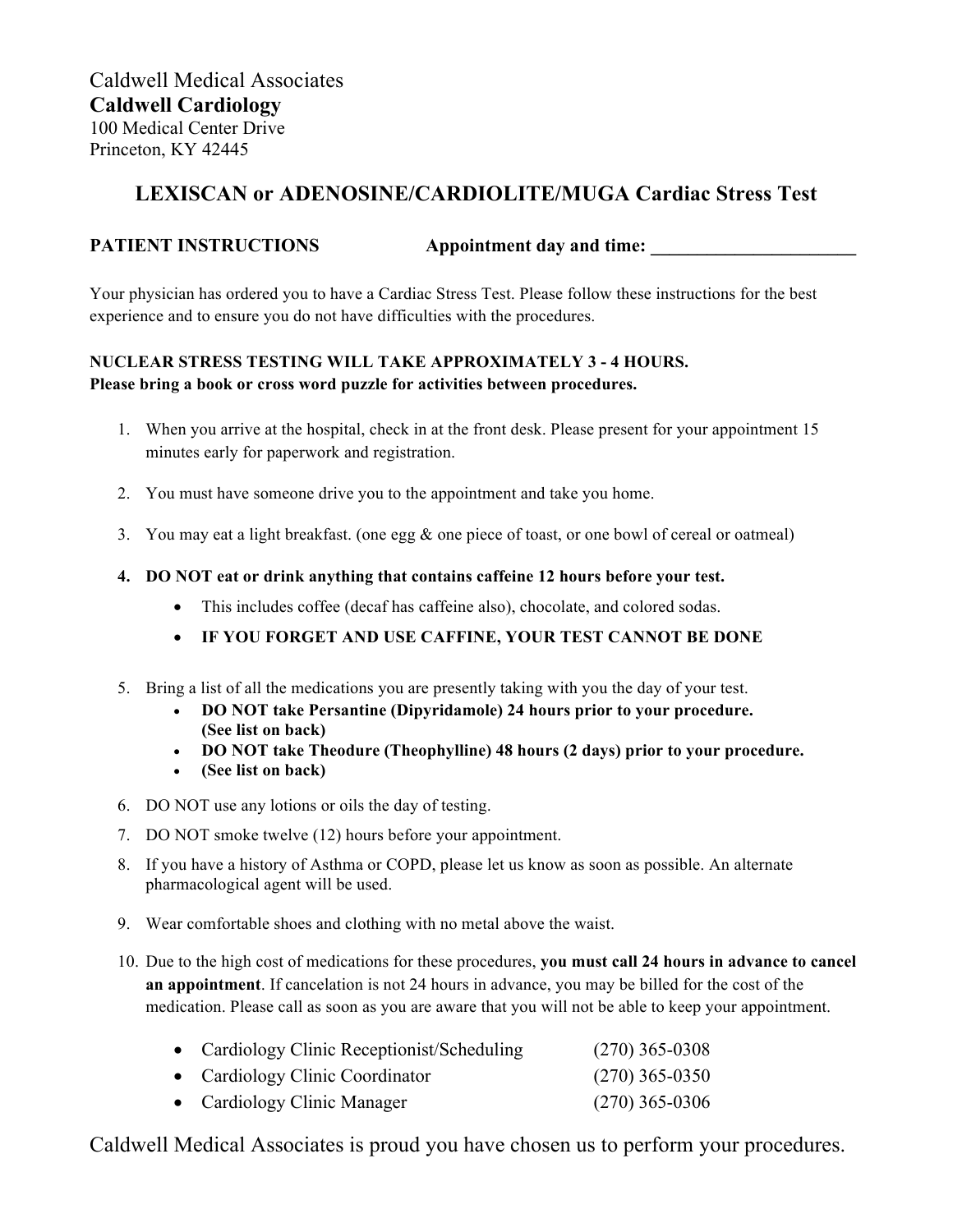# **LEXISCAN or ADENOSINE/CARDIOLITE/MUGA Cardiac Stress Test**

### **PATIENT INSTRUCTIONS** Appointment day and time:

Your physician has ordered you to have a Cardiac Stress Test. Please follow these instructions for the best experience and to ensure you do not have difficulties with the procedures.

### **NUCLEAR STRESS TESTING WILL TAKE APPROXIMATELY 3 - 4 HOURS. Please bring a book or cross word puzzle for activities between procedures.**

- 1. When you arrive at the hospital, check in at the front desk. Please present for your appointment 15 minutes early for paperwork and registration.
- 2. You must have someone drive you to the appointment and take you home.
- 3. You may eat a light breakfast. (one egg & one piece of toast, or one bowl of cereal or oatmeal)
- **4. DO NOT eat or drink anything that contains caffeine 12 hours before your test.** 
	- This includes coffee (decaf has caffeine also), chocolate, and colored sodas.
	- **IF YOU FORGET AND USE CAFFINE, YOUR TEST CANNOT BE DONE**
- 5. Bring a list of all the medications you are presently taking with you the day of your test.
	- **DO NOT take Persantine (Dipyridamole) 24 hours prior to your procedure. (See list on back)**
	- **DO NOT take Theodure (Theophylline) 48 hours (2 days) prior to your procedure.**
	- **(See list on back)**
- 6. DO NOT use any lotions or oils the day of testing.
- 7. DO NOT smoke twelve (12) hours before your appointment.
- 8. If you have a history of Asthma or COPD, please let us know as soon as possible. An alternate pharmacological agent will be used.
- 9. Wear comfortable shoes and clothing with no metal above the waist.
- 10. Due to the high cost of medications for these procedures, **you must call 24 hours in advance to cancel an appointment**. If cancelation is not 24 hours in advance, you may be billed for the cost of the medication. Please call as soon as you are aware that you will not be able to keep your appointment.

| • Cardiology Clinic Receptionist/Scheduling | $(270)$ 365-0308 |
|---------------------------------------------|------------------|
| • Cardiology Clinic Coordinator             | $(270)$ 365-0350 |
| • Cardiology Clinic Manager                 | $(270)$ 365-0306 |

Caldwell Medical Associates is proud you have chosen us to perform your procedures.